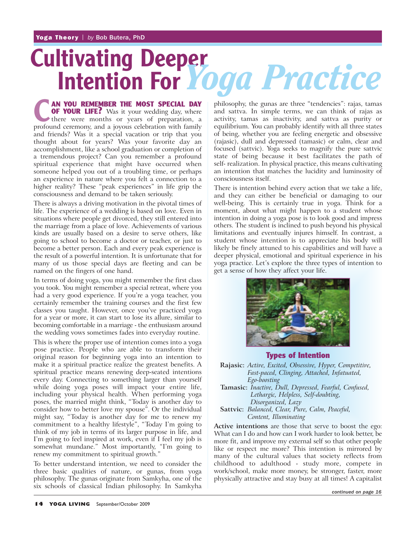# **Cultivating Deeper Intention For** *Yoga Practice*

**CORPOUR LIFE?** Was it your wedding day, where there were months or years of preparation, a profound ceremony, and a joyous celebration with family **AN YOU REMEMBER THE MOST SPECIAL DAY OF YOUR LIFE?** Was it your wedding day, where profound ceremony, and a joyous celebration with family and friends? Was it a special vacation or trip that you thought about for years? Was your favorite day an accomplishment, like a school graduation or completion of a tremendous project? Can you remember a profound spiritual experience that might have occurred when someone helped you out of a troubling time, or perhaps an experience in nature where you felt a connection to a higher reality? These "peak experiences" in life grip the consciousness and demand to be taken seriously.

There is always a driving motivation in the pivotal times of life. The experience of a wedding is based on love. Even in situations where people get divorced, they still entered into the marriage from a place of love. Achievements of various kinds are usually based on a desire to serve others, like going to school to become a doctor or teacher, or just to become a better person. Each and every peak experience is the result of a powerful intention. It is unfortunate that for many of us those special days are fleeting and can be named on the fingers of one hand.

In terms of doing yoga, you might remember the first class you took. You might remember a special retreat, where you had a very good experience. If you're a yoga teacher, you certainly remember the training courses and the first few classes you taught. However, once you've practiced yoga for a year or more, it can start to lose its allure, similar to becoming comfortable in a marriage - the enthusiasm around the wedding vows sometimes fades into everyday routine.

This is where the proper use of intention comes into a yoga pose practice. People who are able to transform their original reason for beginning yoga into an intention to make it a spiritual practice realize the greatest benefits. A spiritual practice means renewing deep-seated intentions every day. Connecting to something larger than yourself while doing yoga poses will impact your entire life, including your physical health. When performing yoga poses, the married might think, "Today is another day to consider how to better love my spouse". Or the individual might say, "Today is another day for me to renew my commitment to a healthy lifestyle", "Today I'm going to think of my job in terms of its larger purpose in life, and I'm going to feel inspired at work, even if I feel my job is somewhat mundane." Most importantly, "I'm going to renew my commitment to spiritual growth."

To better understand intention, we need to consider the three basic qualities of nature, or gunas, from yoga philosophy. The gunas originate from Samkyha, one of the six schools of classical Indian philosophy. In Samkyha

philosophy, the gunas are three "tendencies": rajas, tamas and sattva. In simple terms, we can think of rajas as activity, tamas as inactivity, and sattva as purity or equilibrium. You can probably identify with all three states of being, whether you are feeling energetic and obsessive (rajasic), dull and depressed (tamasic) or calm, clear and focused (sattvic). Yoga seeks to magnify the pure sattvic state of being because it best facilitates the path of self- realization. In physical practice, this means cultivating an intention that matches the lucidity and luminosity of consciousness itself.

There is intention behind every action that we take a life, and they can either be beneficial or damaging to our well-being. This is certainly true in yoga. Think for a moment, about what might happen to a student whose intention in doing a yoga pose is to look good and impress others. The student is inclined to push beyond his physical limitations and eventually injures himself. In contrast, a student whose intention is to appreciate his body will likely be finely attuned to his capabilities and will have a deeper physical, emotional and spiritual experience in his yoga practice. Let's explore the three types of intention to get a sense of how they affect your life.



**Types of Intention**

**Rajasic:** *Active, Excited, Obsessive, Hyper, Competitive, Fast-paced, Clinging, Attached, Infatuated, Ego-boosting*

**Tamasic:** *Inactive, Dull, Depressed, Fearful, Confused, Lethargic, Helpless, Self-doubting, Disorganized, Lazy*

**Sattvic:** *Balanced, Clear, Pure, Calm, Peaceful, Content, Illuminating*

**Active intentions** are those that serve to boost the ego: What can I do and how can I work harder to look better, be more fit, and improve my external self so that other people like or respect me more? This intention is mirrored by many of the cultural values that society reflects from childhood to adulthood - study more, compete in work/school, make more money, be stronger, faster, more physically attractive and stay busy at all times! A capitalist